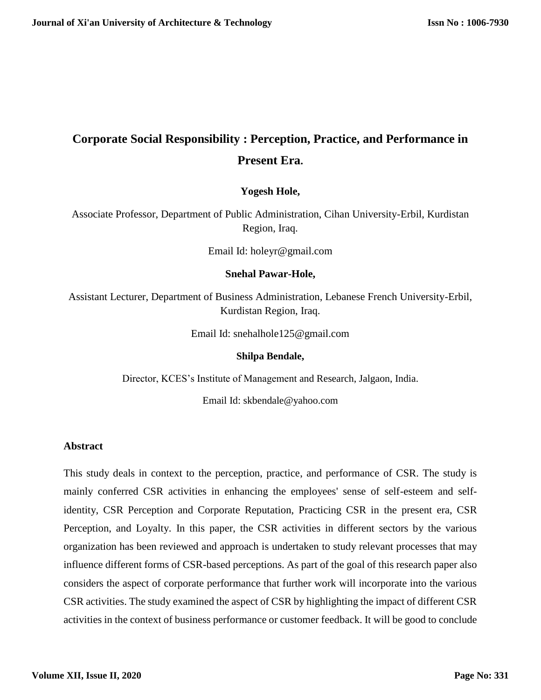# **Corporate Social Responsibility : Perception, Practice, and Performance in Present Era.**

## **Yogesh Hole,**

Associate Professor, Department of Public Administration, Cihan University-Erbil, Kurdistan Region, Iraq.

Email Id: holeyr@gmail.com

#### **Snehal Pawar-Hole,**

Assistant Lecturer, Department of Business Administration, Lebanese French University-Erbil, Kurdistan Region, Iraq.

Email Id: [snehalhole125@gmail.com](mailto:snehalhole125@gmail.com)

#### **Shilpa Bendale,**

Director, KCES's Institute of Management and Research, Jalgaon, India.

Email Id: [skbendale@yahoo.com](mailto:skbendale@yahoo.com)

## **Abstract**

This study deals in context to the perception, practice, and performance of CSR. The study is mainly conferred CSR activities in enhancing the employees' sense of self-esteem and selfidentity, CSR Perception and Corporate Reputation, Practicing CSR in the present era, CSR Perception, and Loyalty. In this paper, the CSR activities in different sectors by the various organization has been reviewed and approach is undertaken to study relevant processes that may influence different forms of CSR-based perceptions. As part of the goal of this research paper also considers the aspect of corporate performance that further work will incorporate into the various CSR activities. The study examined the aspect of CSR by highlighting the impact of different CSR activities in the context of business performance or customer feedback. It will be good to conclude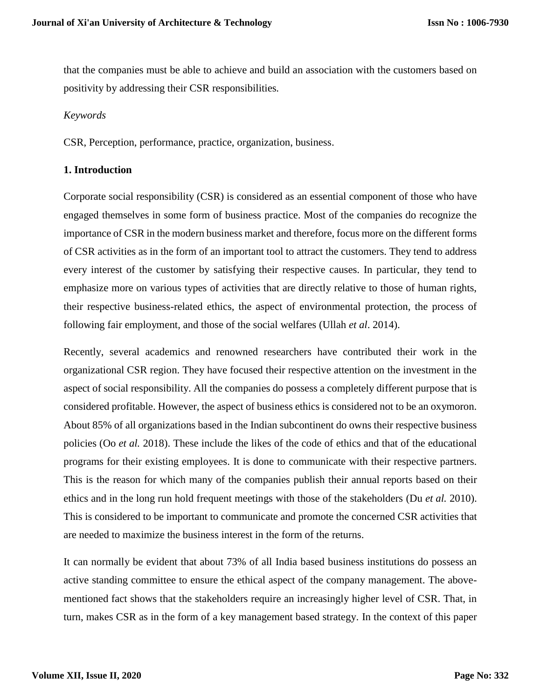that the companies must be able to achieve and build an association with the customers based on positivity by addressing their CSR responsibilities.

#### *Keywords*

CSR, Perception, performance, practice, organization, business.

#### **1. Introduction**

Corporate social responsibility (CSR) is considered as an essential component of those who have engaged themselves in some form of business practice. Most of the companies do recognize the importance of CSR in the modern business market and therefore, focus more on the different forms of CSR activities as in the form of an important tool to attract the customers. They tend to address every interest of the customer by satisfying their respective causes. In particular, they tend to emphasize more on various types of activities that are directly relative to those of human rights, their respective business-related ethics, the aspect of environmental protection, the process of following fair employment, and those of the social welfares (Ullah *et al*. 2014).

Recently, several academics and renowned researchers have contributed their work in the organizational CSR region. They have focused their respective attention on the investment in the aspect of social responsibility. All the companies do possess a completely different purpose that is considered profitable. However, the aspect of business ethics is considered not to be an oxymoron. About 85% of all organizations based in the Indian subcontinent do owns their respective business policies (Oo *et al.* 2018). These include the likes of the code of ethics and that of the educational programs for their existing employees. It is done to communicate with their respective partners. This is the reason for which many of the companies publish their annual reports based on their ethics and in the long run hold frequent meetings with those of the stakeholders (Du *et al.* 2010). This is considered to be important to communicate and promote the concerned CSR activities that are needed to maximize the business interest in the form of the returns.

It can normally be evident that about 73% of all India based business institutions do possess an active standing committee to ensure the ethical aspect of the company management. The abovementioned fact shows that the stakeholders require an increasingly higher level of CSR. That, in turn, makes CSR as in the form of a key management based strategy. In the context of this paper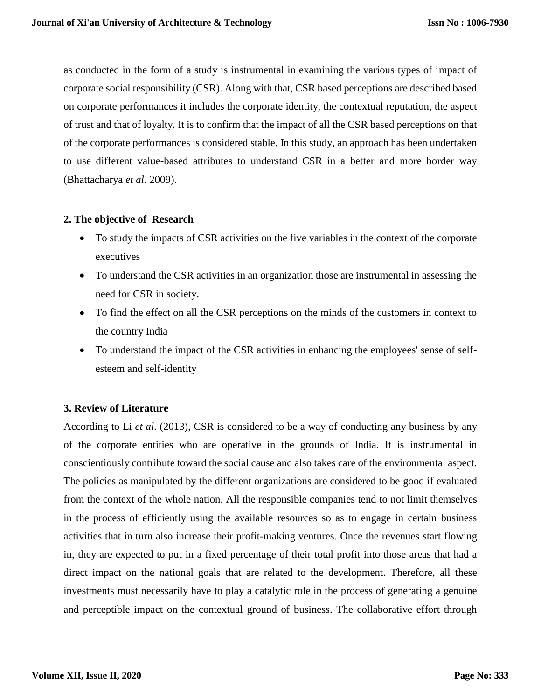as conducted in the form of a study is instrumental in examining the various types of impact of corporate social responsibility (CSR). Along with that, CSR based perceptions are described based on corporate performances it includes the corporate identity, the contextual reputation, the aspect of trust and that of loyalty. It is to confirm that the impact of all the CSR based perceptions on that of the corporate performances is considered stable. In this study, an approach has been undertaken to use different value-based attributes to understand CSR in a better and more border way (Bhattacharya *et al.* 2009).

## **2. The objective of Research**

- To study the impacts of CSR activities on the five variables in the context of the corporate executives
- To understand the CSR activities in an organization those are instrumental in assessing the need for CSR in society.
- To find the effect on all the CSR perceptions on the minds of the customers in context to the country India
- To understand the impact of the CSR activities in enhancing the employees' sense of selfesteem and self-identity

## **3. Review of Literature**

According to Li *et al*. (2013), CSR is considered to be a way of conducting any business by any of the corporate entities who are operative in the grounds of India. It is instrumental in conscientiously contribute toward the social cause and also takes care of the environmental aspect. The policies as manipulated by the different organizations are considered to be good if evaluated from the context of the whole nation. All the responsible companies tend to not limit themselves in the process of efficiently using the available resources so as to engage in certain business activities that in turn also increase their profit-making ventures. Once the revenues start flowing in, they are expected to put in a fixed percentage of their total profit into those areas that had a direct impact on the national goals that are related to the development. Therefore, all these investments must necessarily have to play a catalytic role in the process of generating a genuine and perceptible impact on the contextual ground of business. The collaborative effort through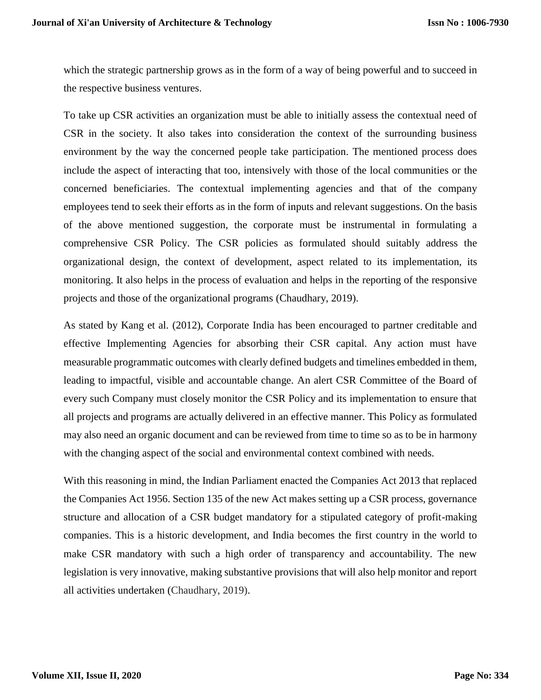which the strategic partnership grows as in the form of a way of being powerful and to succeed in the respective business ventures.

To take up CSR activities an organization must be able to initially assess the contextual need of CSR in the society. It also takes into consideration the context of the surrounding business environment by the way the concerned people take participation. The mentioned process does include the aspect of interacting that too, intensively with those of the local communities or the concerned beneficiaries. The contextual implementing agencies and that of the company employees tend to seek their efforts as in the form of inputs and relevant suggestions. On the basis of the above mentioned suggestion, the corporate must be instrumental in formulating a comprehensive CSR Policy. The CSR policies as formulated should suitably address the organizational design, the context of development, aspect related to its implementation, its monitoring. It also helps in the process of evaluation and helps in the reporting of the responsive projects and those of the organizational programs (Chaudhary, 2019).

As stated by Kang et al. (2012), Corporate India has been encouraged to partner creditable and effective Implementing Agencies for absorbing their CSR capital. Any action must have measurable programmatic outcomes with clearly defined budgets and timelines embedded in them, leading to impactful, visible and accountable change. An alert CSR Committee of the Board of every such Company must closely monitor the CSR Policy and its implementation to ensure that all projects and programs are actually delivered in an effective manner. This Policy as formulated may also need an organic document and can be reviewed from time to time so as to be in harmony with the changing aspect of the social and environmental context combined with needs.

With this reasoning in mind, the Indian Parliament enacted the Companies Act 2013 that replaced the Companies Act 1956. Section 135 of the new Act makes setting up a CSR process, governance structure and allocation of a CSR budget mandatory for a stipulated category of profit-making companies. This is a historic development, and India becomes the first country in the world to make CSR mandatory with such a high order of transparency and accountability. The new legislation is very innovative, making substantive provisions that will also help monitor and report all activities undertaken (Chaudhary, 2019).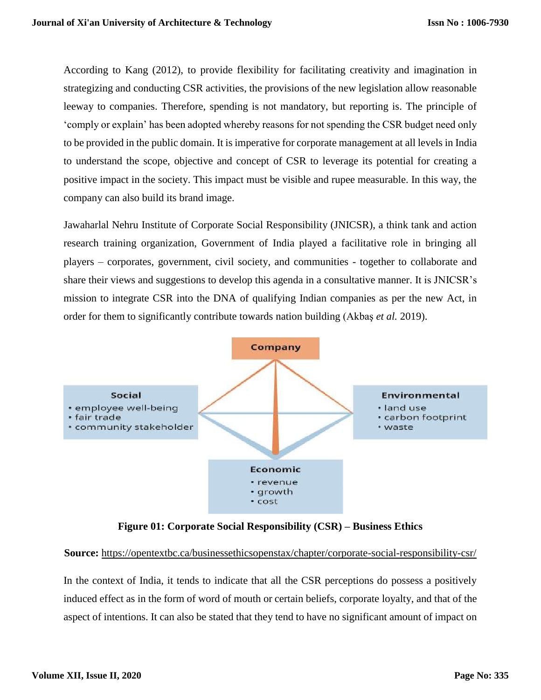According to Kang (2012), to provide flexibility for facilitating creativity and imagination in strategizing and conducting CSR activities, the provisions of the new legislation allow reasonable leeway to companies. Therefore, spending is not mandatory, but reporting is. The principle of 'comply or explain' has been adopted whereby reasons for not spending the CSR budget need only to be provided in the public domain. It is imperative for corporate management at all levels in India to understand the scope, objective and concept of CSR to leverage its potential for creating a positive impact in the society. This impact must be visible and rupee measurable. In this way, the company can also build its brand image.

Jawaharlal Nehru Institute of Corporate Social Responsibility (JNICSR), a think tank and action research training organization, Government of India played a facilitative role in bringing all players – corporates, government, civil society, and communities - together to collaborate and share their views and suggestions to develop this agenda in a consultative manner. It is JNICSR's mission to integrate CSR into the DNA of qualifying Indian companies as per the new Act, in order for them to significantly contribute towards nation building (Akbaş *et al.* 2019).



**Figure 01: Corporate Social Responsibility (CSR) – Business Ethics**

## **Source:** <https://opentextbc.ca/businessethicsopenstax/chapter/corporate-social-responsibility-csr/>

In the context of India, it tends to indicate that all the CSR perceptions do possess a positively induced effect as in the form of word of mouth or certain beliefs, corporate loyalty, and that of the aspect of intentions. It can also be stated that they tend to have no significant amount of impact on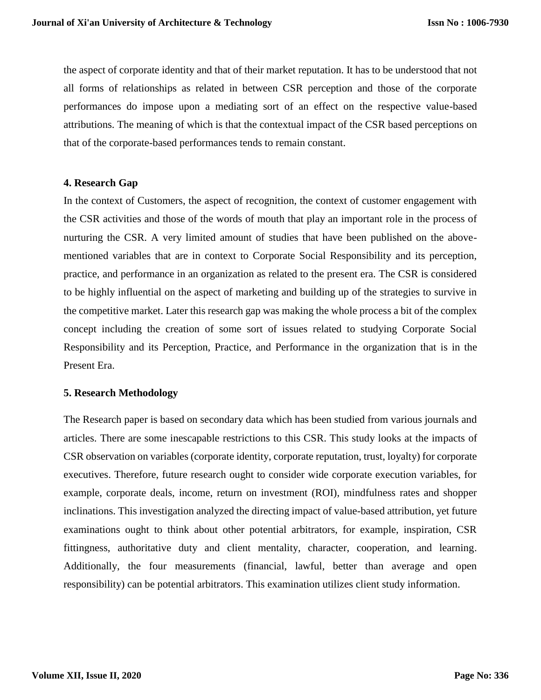the aspect of corporate identity and that of their market reputation. It has to be understood that not all forms of relationships as related in between CSR perception and those of the corporate performances do impose upon a mediating sort of an effect on the respective value-based attributions. The meaning of which is that the contextual impact of the CSR based perceptions on that of the corporate-based performances tends to remain constant.

#### **4. Research Gap**

In the context of Customers, the aspect of recognition, the context of customer engagement with the CSR activities and those of the words of mouth that play an important role in the process of nurturing the CSR. A very limited amount of studies that have been published on the abovementioned variables that are in context to Corporate Social Responsibility and its perception, practice, and performance in an organization as related to the present era. The CSR is considered to be highly influential on the aspect of marketing and building up of the strategies to survive in the competitive market. Later this research gap was making the whole process a bit of the complex concept including the creation of some sort of issues related to studying Corporate Social Responsibility and its Perception, Practice, and Performance in the organization that is in the Present Era.

#### **5. Research Methodology**

The Research paper is based on secondary data which has been studied from various journals and articles. There are some inescapable restrictions to this CSR. This study looks at the impacts of CSR observation on variables (corporate identity, corporate reputation, trust, loyalty) for corporate executives. Therefore, future research ought to consider wide corporate execution variables, for example, corporate deals, income, return on investment (ROI), mindfulness rates and shopper inclinations. This investigation analyzed the directing impact of value-based attribution, yet future examinations ought to think about other potential arbitrators, for example, inspiration, CSR fittingness, authoritative duty and client mentality, character, cooperation, and learning. Additionally, the four measurements (financial, lawful, better than average and open responsibility) can be potential arbitrators. This examination utilizes client study information.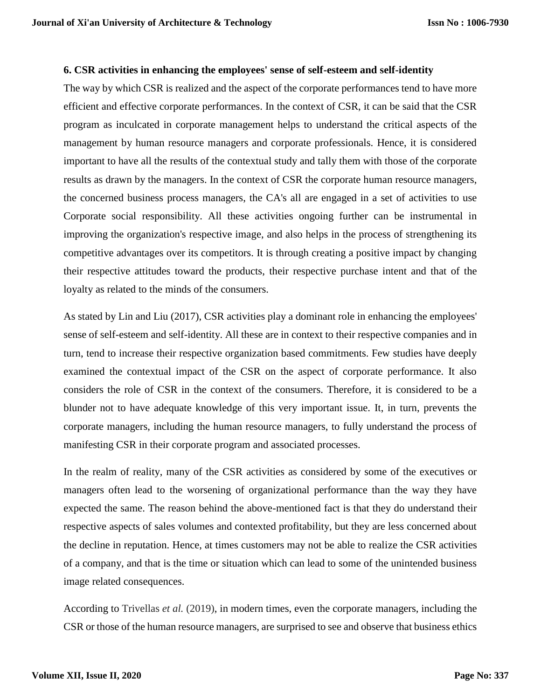#### **6. CSR activities in enhancing the employees' sense of self-esteem and self-identity**

The way by which CSR is realized and the aspect of the corporate performances tend to have more efficient and effective corporate performances. In the context of CSR, it can be said that the CSR program as inculcated in corporate management helps to understand the critical aspects of the management by human resource managers and corporate professionals. Hence, it is considered important to have all the results of the contextual study and tally them with those of the corporate results as drawn by the managers. In the context of CSR the corporate human resource managers, the concerned business process managers, the CA's all are engaged in a set of activities to use Corporate social responsibility. All these activities ongoing further can be instrumental in improving the organization's respective image, and also helps in the process of strengthening its competitive advantages over its competitors. It is through creating a positive impact by changing their respective attitudes toward the products, their respective purchase intent and that of the loyalty as related to the minds of the consumers.

As stated by Lin and Liu (2017), CSR activities play a dominant role in enhancing the employees' sense of self-esteem and self-identity. All these are in context to their respective companies and in turn, tend to increase their respective organization based commitments. Few studies have deeply examined the contextual impact of the CSR on the aspect of corporate performance. It also considers the role of CSR in the context of the consumers. Therefore, it is considered to be a blunder not to have adequate knowledge of this very important issue. It, in turn, prevents the corporate managers, including the human resource managers, to fully understand the process of manifesting CSR in their corporate program and associated processes.

In the realm of reality, many of the CSR activities as considered by some of the executives or managers often lead to the worsening of organizational performance than the way they have expected the same. The reason behind the above-mentioned fact is that they do understand their respective aspects of sales volumes and contexted profitability, but they are less concerned about the decline in reputation. Hence, at times customers may not be able to realize the CSR activities of a company, and that is the time or situation which can lead to some of the unintended business image related consequences.

According to Trivellas *et al.* (2019), in modern times, even the corporate managers, including the CSR or those of the human resource managers, are surprised to see and observe that business ethics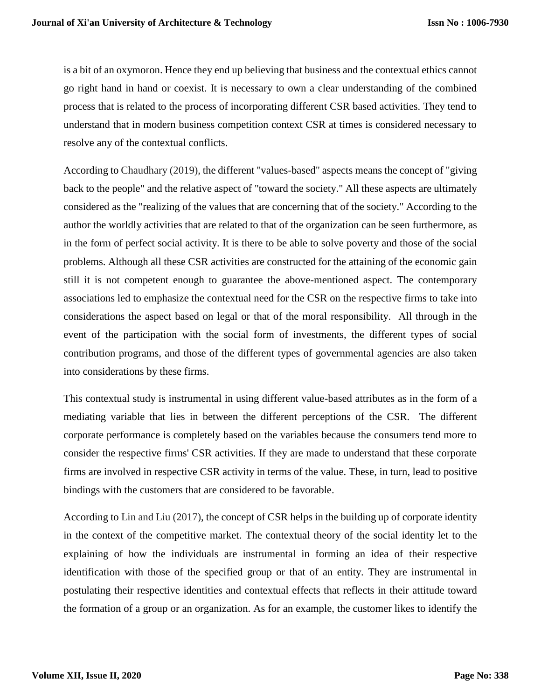is a bit of an oxymoron. Hence they end up believing that business and the contextual ethics cannot go right hand in hand or coexist. It is necessary to own a clear understanding of the combined process that is related to the process of incorporating different CSR based activities. They tend to understand that in modern business competition context CSR at times is considered necessary to resolve any of the contextual conflicts.

According to Chaudhary (2019), the different "values-based" aspects means the concept of "giving back to the people" and the relative aspect of "toward the society." All these aspects are ultimately considered as the "realizing of the values that are concerning that of the society." According to the author the worldly activities that are related to that of the organization can be seen furthermore, as in the form of perfect social activity. It is there to be able to solve poverty and those of the social problems. Although all these CSR activities are constructed for the attaining of the economic gain still it is not competent enough to guarantee the above-mentioned aspect. The contemporary associations led to emphasize the contextual need for the CSR on the respective firms to take into considerations the aspect based on legal or that of the moral responsibility. All through in the event of the participation with the social form of investments, the different types of social contribution programs, and those of the different types of governmental agencies are also taken into considerations by these firms.

This contextual study is instrumental in using different value-based attributes as in the form of a mediating variable that lies in between the different perceptions of the CSR. The different corporate performance is completely based on the variables because the consumers tend more to consider the respective firms' CSR activities. If they are made to understand that these corporate firms are involved in respective CSR activity in terms of the value. These, in turn, lead to positive bindings with the customers that are considered to be favorable.

According to Lin and Liu (2017), the concept of CSR helps in the building up of corporate identity in the context of the competitive market. The contextual theory of the social identity let to the explaining of how the individuals are instrumental in forming an idea of their respective identification with those of the specified group or that of an entity. They are instrumental in postulating their respective identities and contextual effects that reflects in their attitude toward the formation of a group or an organization. As for an example, the customer likes to identify the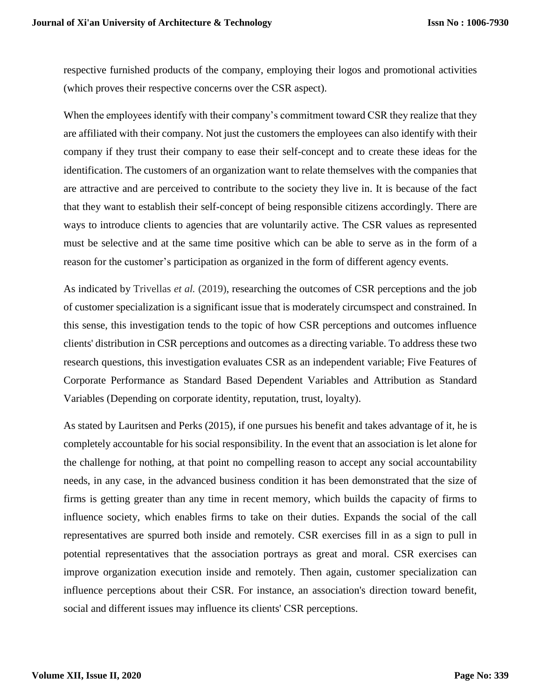respective furnished products of the company, employing their logos and promotional activities (which proves their respective concerns over the CSR aspect).

When the employees identify with their company's commitment toward CSR they realize that they are affiliated with their company. Not just the customers the employees can also identify with their company if they trust their company to ease their self-concept and to create these ideas for the identification. The customers of an organization want to relate themselves with the companies that are attractive and are perceived to contribute to the society they live in. It is because of the fact that they want to establish their self-concept of being responsible citizens accordingly. There are ways to introduce clients to agencies that are voluntarily active. The CSR values as represented must be selective and at the same time positive which can be able to serve as in the form of a reason for the customer's participation as organized in the form of different agency events.

As indicated by Trivellas *et al.* (2019), researching the outcomes of CSR perceptions and the job of customer specialization is a significant issue that is moderately circumspect and constrained. In this sense, this investigation tends to the topic of how CSR perceptions and outcomes influence clients' distribution in CSR perceptions and outcomes as a directing variable. To address these two research questions, this investigation evaluates CSR as an independent variable; Five Features of Corporate Performance as Standard Based Dependent Variables and Attribution as Standard Variables (Depending on corporate identity, reputation, trust, loyalty).

As stated by Lauritsen and Perks (2015), if one pursues his benefit and takes advantage of it, he is completely accountable for his social responsibility. In the event that an association is let alone for the challenge for nothing, at that point no compelling reason to accept any social accountability needs, in any case, in the advanced business condition it has been demonstrated that the size of firms is getting greater than any time in recent memory, which builds the capacity of firms to influence society, which enables firms to take on their duties. Expands the social of the call representatives are spurred both inside and remotely. CSR exercises fill in as a sign to pull in potential representatives that the association portrays as great and moral. CSR exercises can improve organization execution inside and remotely. Then again, customer specialization can influence perceptions about their CSR. For instance, an association's direction toward benefit, social and different issues may influence its clients' CSR perceptions.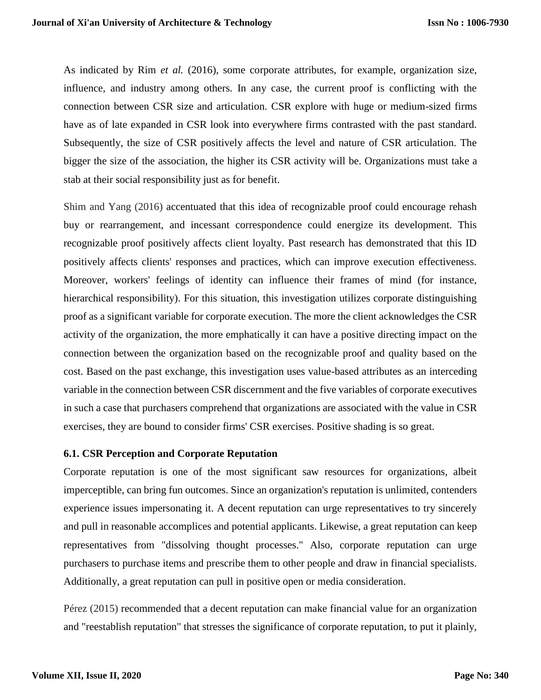As indicated by Rim *et al.* (2016), some corporate attributes, for example, organization size, influence, and industry among others. In any case, the current proof is conflicting with the connection between CSR size and articulation. CSR explore with huge or medium-sized firms have as of late expanded in CSR look into everywhere firms contrasted with the past standard. Subsequently, the size of CSR positively affects the level and nature of CSR articulation. The bigger the size of the association, the higher its CSR activity will be. Organizations must take a stab at their social responsibility just as for benefit.

Shim and Yang (2016) accentuated that this idea of recognizable proof could encourage rehash buy or rearrangement, and incessant correspondence could energize its development. This recognizable proof positively affects client loyalty. Past research has demonstrated that this ID positively affects clients' responses and practices, which can improve execution effectiveness. Moreover, workers' feelings of identity can influence their frames of mind (for instance, hierarchical responsibility). For this situation, this investigation utilizes corporate distinguishing proof as a significant variable for corporate execution. The more the client acknowledges the CSR activity of the organization, the more emphatically it can have a positive directing impact on the connection between the organization based on the recognizable proof and quality based on the cost. Based on the past exchange, this investigation uses value-based attributes as an interceding variable in the connection between CSR discernment and the five variables of corporate executives in such a case that purchasers comprehend that organizations are associated with the value in CSR exercises, they are bound to consider firms' CSR exercises. Positive shading is so great.

#### **6.1. CSR Perception and Corporate Reputation**

Corporate reputation is one of the most significant saw resources for organizations, albeit imperceptible, can bring fun outcomes. Since an organization's reputation is unlimited, contenders experience issues impersonating it. A decent reputation can urge representatives to try sincerely and pull in reasonable accomplices and potential applicants. Likewise, a great reputation can keep representatives from "dissolving thought processes." Also, corporate reputation can urge purchasers to purchase items and prescribe them to other people and draw in financial specialists. Additionally, a great reputation can pull in positive open or media consideration.

Pérez (2015) recommended that a decent reputation can make financial value for an organization and "reestablish reputation" that stresses the significance of corporate reputation, to put it plainly,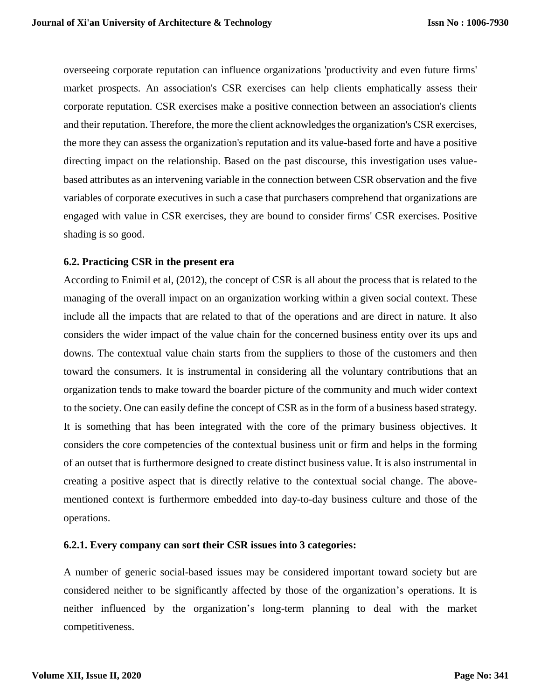overseeing corporate reputation can influence organizations 'productivity and even future firms' market prospects. An association's CSR exercises can help clients emphatically assess their corporate reputation. CSR exercises make a positive connection between an association's clients and their reputation. Therefore, the more the client acknowledges the organization's CSR exercises, the more they can assess the organization's reputation and its value-based forte and have a positive directing impact on the relationship. Based on the past discourse, this investigation uses valuebased attributes as an intervening variable in the connection between CSR observation and the five variables of corporate executives in such a case that purchasers comprehend that organizations are engaged with value in CSR exercises, they are bound to consider firms' CSR exercises. Positive shading is so good.

#### **6.2. Practicing CSR in the present era**

According to Enimil et al, (2012), the concept of CSR is all about the process that is related to the managing of the overall impact on an organization working within a given social context. These include all the impacts that are related to that of the operations and are direct in nature. It also considers the wider impact of the value chain for the concerned business entity over its ups and downs. The contextual value chain starts from the suppliers to those of the customers and then toward the consumers. It is instrumental in considering all the voluntary contributions that an organization tends to make toward the boarder picture of the community and much wider context to the society. One can easily define the concept of CSR as in the form of a business based strategy. It is something that has been integrated with the core of the primary business objectives. It considers the core competencies of the contextual business unit or firm and helps in the forming of an outset that is furthermore designed to create distinct business value. It is also instrumental in creating a positive aspect that is directly relative to the contextual social change. The abovementioned context is furthermore embedded into day-to-day business culture and those of the operations.

#### **6.2.1. Every company can sort their CSR issues into 3 categories:**

A number of generic social-based issues may be considered important toward society but are considered neither to be significantly affected by those of the organization's operations. It is neither influenced by the organization's long-term planning to deal with the market competitiveness.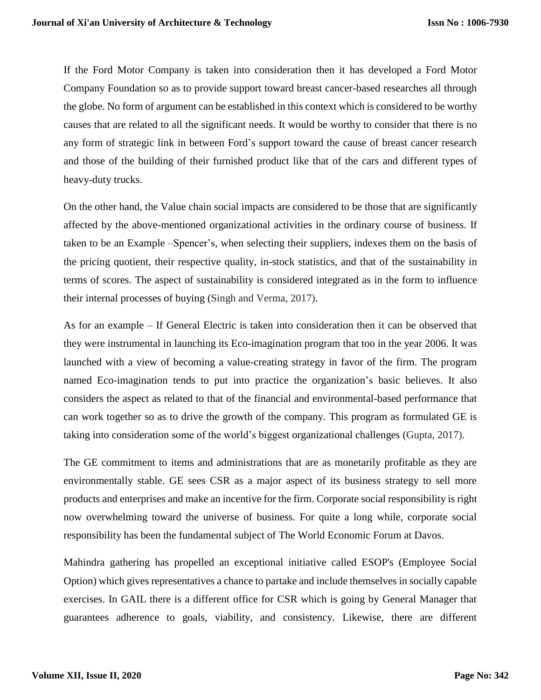If the Ford Motor Company is taken into consideration then it has developed a Ford Motor Company Foundation so as to provide support toward breast cancer-based researches all through the globe. No form of argument can be established in this context which is considered to be worthy causes that are related to all the significant needs. It would be worthy to consider that there is no any form of strategic link in between Ford's support toward the cause of breast cancer research and those of the building of their furnished product like that of the cars and different types of heavy-duty trucks.

On the other hand, the Value chain social impacts are considered to be those that are significantly affected by the above-mentioned organizational activities in the ordinary course of business. If taken to be an Example –Spencer's, when selecting their suppliers, indexes them on the basis of the pricing quotient, their respective quality, in-stock statistics, and that of the sustainability in terms of scores. The aspect of sustainability is considered integrated as in the form to influence their internal processes of buying (Singh and Verma, 2017).

As for an example – If General Electric is taken into consideration then it can be observed that they were instrumental in launching its Eco-imagination program that too in the year 2006. It was launched with a view of becoming a value-creating strategy in favor of the firm. The program named Eco-imagination tends to put into practice the organization's basic believes. It also considers the aspect as related to that of the financial and environmental-based performance that can work together so as to drive the growth of the company. This program as formulated GE is taking into consideration some of the world's biggest organizational challenges (Gupta, 2017).

The GE commitment to items and administrations that are as monetarily profitable as they are environmentally stable. GE sees CSR as a major aspect of its business strategy to sell more products and enterprises and make an incentive for the firm. Corporate social responsibility is right now overwhelming toward the universe of business. For quite a long while, corporate social responsibility has been the fundamental subject of The World Economic Forum at Davos.

Mahindra gathering has propelled an exceptional initiative called ESOP's (Employee Social Option) which gives representatives a chance to partake and include themselves in socially capable exercises. In GAIL there is a different office for CSR which is going by General Manager that guarantees adherence to goals, viability, and consistency. Likewise, there are different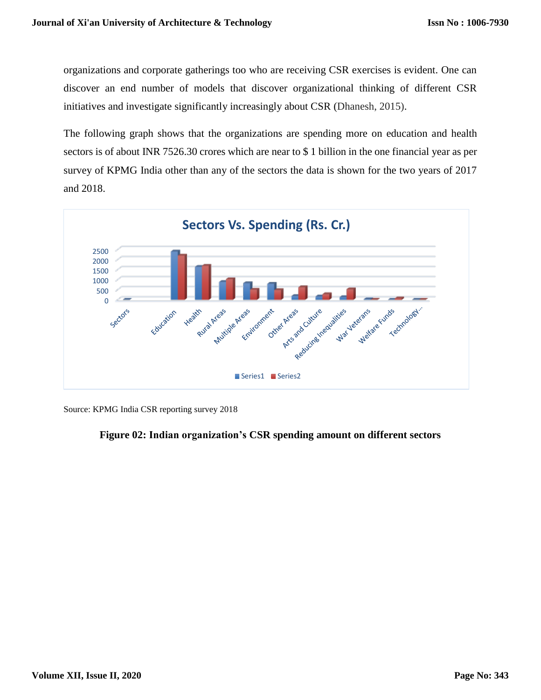organizations and corporate gatherings too who are receiving CSR exercises is evident. One can discover an end number of models that discover organizational thinking of different CSR initiatives and investigate significantly increasingly about CSR (Dhanesh, 2015).

The following graph shows that the organizations are spending more on education and health sectors is of about INR 7526.30 crores which are near to \$ 1 billion in the one financial year as per survey of KPMG India other than any of the sectors the data is shown for the two years of 2017 and 2018.



Source: KPMG India CSR reporting survey 2018

## **Figure 02: Indian organization's CSR spending amount on different sectors**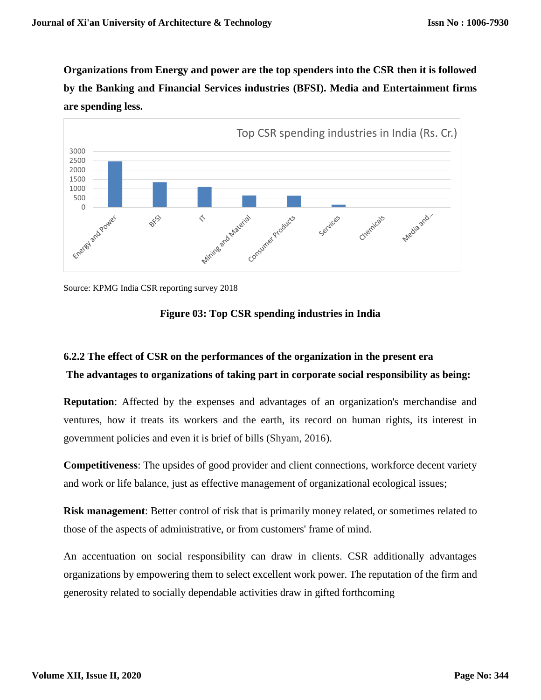**Organizations from Energy and power are the top spenders into the CSR then it is followed by the Banking and Financial Services industries (BFSI). Media and Entertainment firms are spending less.** 





## **Figure 03: Top CSR spending industries in India**

## **6.2.2 The effect of CSR on the performances of the organization in the present era The advantages to organizations of taking part in corporate social responsibility as being:**

**Reputation**: Affected by the expenses and advantages of an organization's merchandise and ventures, how it treats its workers and the earth, its record on human rights, its interest in government policies and even it is brief of bills (Shyam, 2016).

**Competitiveness**: The upsides of good provider and client connections, workforce decent variety and work or life balance, just as effective management of organizational ecological issues;

**Risk management**: Better control of risk that is primarily money related, or sometimes related to those of the aspects of administrative, or from customers' frame of mind.

An accentuation on social responsibility can draw in clients. CSR additionally advantages organizations by empowering them to select excellent work power. The reputation of the firm and generosity related to socially dependable activities draw in gifted forthcoming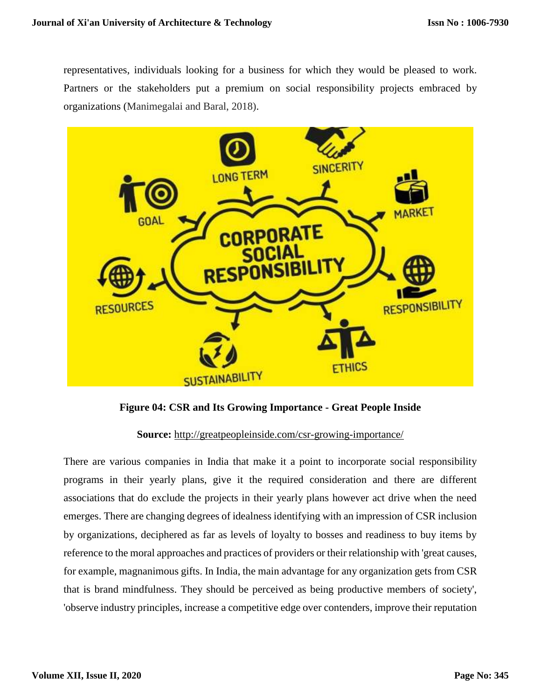representatives, individuals looking for a business for which they would be pleased to work. Partners or the stakeholders put a premium on social responsibility projects embraced by organizations (Manimegalai and Baral, 2018).



**Figure 04: CSR and Its Growing Importance - Great People Inside**

**Source:** <http://greatpeopleinside.com/csr-growing-importance/>

There are various companies in India that make it a point to incorporate social responsibility programs in their yearly plans, give it the required consideration and there are different associations that do exclude the projects in their yearly plans however act drive when the need emerges. There are changing degrees of idealness identifying with an impression of CSR inclusion by organizations, deciphered as far as levels of loyalty to bosses and readiness to buy items by reference to the moral approaches and practices of providers or their relationship with 'great causes, for example, magnanimous gifts. In India, the main advantage for any organization gets from CSR that is brand mindfulness. They should be perceived as being productive members of society', 'observe industry principles, increase a competitive edge over contenders, improve their reputation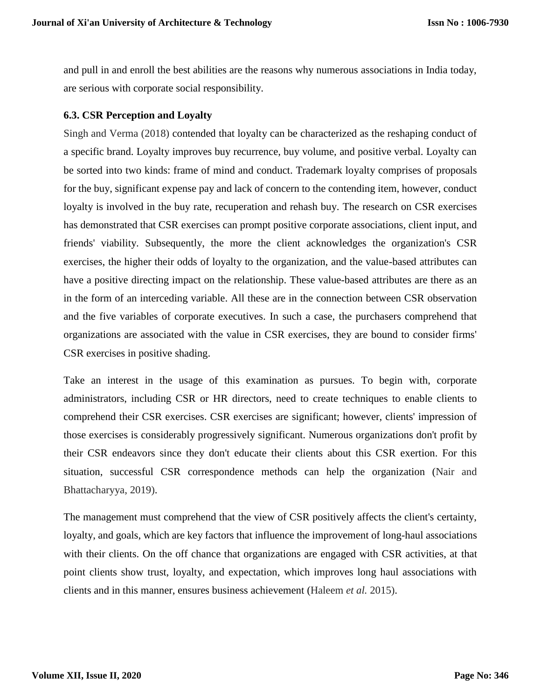and pull in and enroll the best abilities are the reasons why numerous associations in India today, are serious with corporate social responsibility.

## **6.3. CSR Perception and Loyalty**

Singh and Verma (2018) contended that loyalty can be characterized as the reshaping conduct of a specific brand. Loyalty improves buy recurrence, buy volume, and positive verbal. Loyalty can be sorted into two kinds: frame of mind and conduct. Trademark loyalty comprises of proposals for the buy, significant expense pay and lack of concern to the contending item, however, conduct loyalty is involved in the buy rate, recuperation and rehash buy. The research on CSR exercises has demonstrated that CSR exercises can prompt positive corporate associations, client input, and friends' viability. Subsequently, the more the client acknowledges the organization's CSR exercises, the higher their odds of loyalty to the organization, and the value-based attributes can have a positive directing impact on the relationship. These value-based attributes are there as an in the form of an interceding variable. All these are in the connection between CSR observation and the five variables of corporate executives. In such a case, the purchasers comprehend that organizations are associated with the value in CSR exercises, they are bound to consider firms' CSR exercises in positive shading.

Take an interest in the usage of this examination as pursues. To begin with, corporate administrators, including CSR or HR directors, need to create techniques to enable clients to comprehend their CSR exercises. CSR exercises are significant; however, clients' impression of those exercises is considerably progressively significant. Numerous organizations don't profit by their CSR endeavors since they don't educate their clients about this CSR exertion. For this situation, successful CSR correspondence methods can help the organization (Nair and Bhattacharyya, 2019).

The management must comprehend that the view of CSR positively affects the client's certainty, loyalty, and goals, which are key factors that influence the improvement of long-haul associations with their clients. On the off chance that organizations are engaged with CSR activities, at that point clients show trust, loyalty, and expectation, which improves long haul associations with clients and in this manner, ensures business achievement (Haleem *et al.* 2015).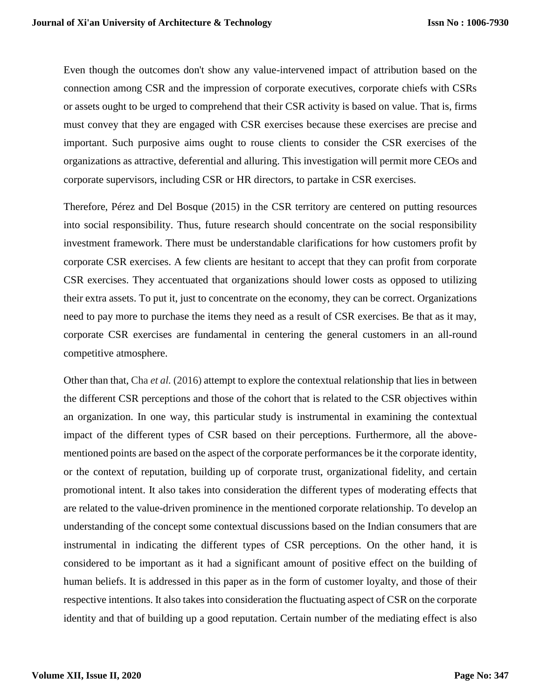Even though the outcomes don't show any value-intervened impact of attribution based on the connection among CSR and the impression of corporate executives, corporate chiefs with CSRs or assets ought to be urged to comprehend that their CSR activity is based on value. That is, firms must convey that they are engaged with CSR exercises because these exercises are precise and important. Such purposive aims ought to rouse clients to consider the CSR exercises of the organizations as attractive, deferential and alluring. This investigation will permit more CEOs and corporate supervisors, including CSR or HR directors, to partake in CSR exercises.

Therefore, Pérez and Del Bosque (2015) in the CSR territory are centered on putting resources into social responsibility. Thus, future research should concentrate on the social responsibility investment framework. There must be understandable clarifications for how customers profit by corporate CSR exercises. A few clients are hesitant to accept that they can profit from corporate CSR exercises. They accentuated that organizations should lower costs as opposed to utilizing their extra assets. To put it, just to concentrate on the economy, they can be correct. Organizations need to pay more to purchase the items they need as a result of CSR exercises. Be that as it may, corporate CSR exercises are fundamental in centering the general customers in an all-round competitive atmosphere.

Other than that, Cha *et al.* (2016) attempt to explore the contextual relationship that lies in between the different CSR perceptions and those of the cohort that is related to the CSR objectives within an organization. In one way, this particular study is instrumental in examining the contextual impact of the different types of CSR based on their perceptions. Furthermore, all the abovementioned points are based on the aspect of the corporate performances be it the corporate identity, or the context of reputation, building up of corporate trust, organizational fidelity, and certain promotional intent. It also takes into consideration the different types of moderating effects that are related to the value-driven prominence in the mentioned corporate relationship. To develop an understanding of the concept some contextual discussions based on the Indian consumers that are instrumental in indicating the different types of CSR perceptions. On the other hand, it is considered to be important as it had a significant amount of positive effect on the building of human beliefs. It is addressed in this paper as in the form of customer loyalty, and those of their respective intentions. It also takes into consideration the fluctuating aspect of CSR on the corporate identity and that of building up a good reputation. Certain number of the mediating effect is also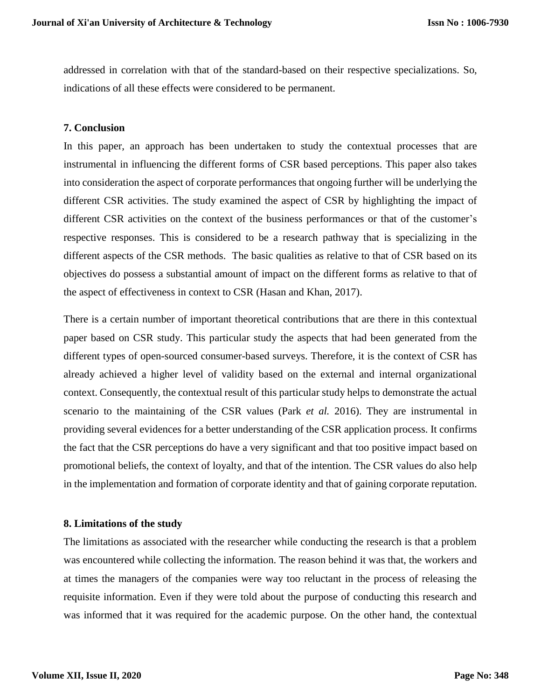addressed in correlation with that of the standard-based on their respective specializations. So, indications of all these effects were considered to be permanent.

## **7. Conclusion**

In this paper, an approach has been undertaken to study the contextual processes that are instrumental in influencing the different forms of CSR based perceptions. This paper also takes into consideration the aspect of corporate performances that ongoing further will be underlying the different CSR activities. The study examined the aspect of CSR by highlighting the impact of different CSR activities on the context of the business performances or that of the customer's respective responses. This is considered to be a research pathway that is specializing in the different aspects of the CSR methods. The basic qualities as relative to that of CSR based on its objectives do possess a substantial amount of impact on the different forms as relative to that of the aspect of effectiveness in context to CSR (Hasan and Khan, 2017).

There is a certain number of important theoretical contributions that are there in this contextual paper based on CSR study. This particular study the aspects that had been generated from the different types of open-sourced consumer-based surveys. Therefore, it is the context of CSR has already achieved a higher level of validity based on the external and internal organizational context. Consequently, the contextual result of this particular study helps to demonstrate the actual scenario to the maintaining of the CSR values (Park *et al.* 2016). They are instrumental in providing several evidences for a better understanding of the CSR application process. It confirms the fact that the CSR perceptions do have a very significant and that too positive impact based on promotional beliefs, the context of loyalty, and that of the intention. The CSR values do also help in the implementation and formation of corporate identity and that of gaining corporate reputation.

#### **8. Limitations of the study**

The limitations as associated with the researcher while conducting the research is that a problem was encountered while collecting the information. The reason behind it was that, the workers and at times the managers of the companies were way too reluctant in the process of releasing the requisite information. Even if they were told about the purpose of conducting this research and was informed that it was required for the academic purpose. On the other hand, the contextual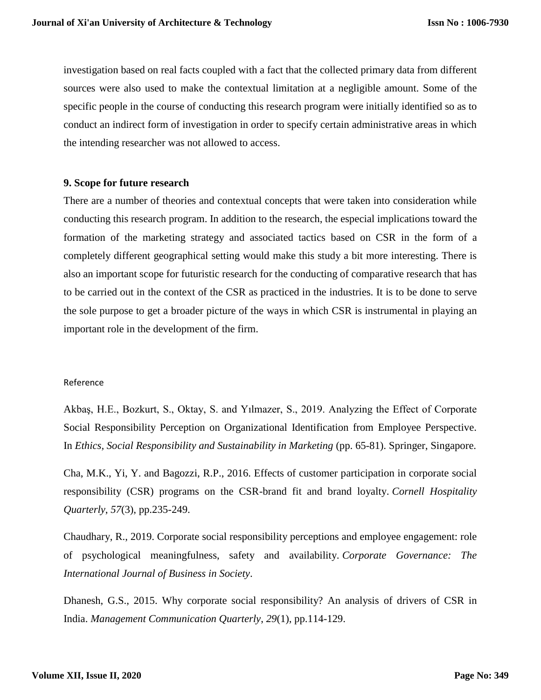investigation based on real facts coupled with a fact that the collected primary data from different sources were also used to make the contextual limitation at a negligible amount. Some of the specific people in the course of conducting this research program were initially identified so as to conduct an indirect form of investigation in order to specify certain administrative areas in which the intending researcher was not allowed to access.

#### **9. Scope for future research**

There are a number of theories and contextual concepts that were taken into consideration while conducting this research program. In addition to the research, the especial implications toward the formation of the marketing strategy and associated tactics based on CSR in the form of a completely different geographical setting would make this study a bit more interesting. There is also an important scope for futuristic research for the conducting of comparative research that has to be carried out in the context of the CSR as practiced in the industries. It is to be done to serve the sole purpose to get a broader picture of the ways in which CSR is instrumental in playing an important role in the development of the firm.

#### Reference

Akbaş, H.E., Bozkurt, S., Oktay, S. and Yılmazer, S., 2019. Analyzing the Effect of Corporate Social Responsibility Perception on Organizational Identification from Employee Perspective. In *Ethics, Social Responsibility and Sustainability in Marketing* (pp. 65-81). Springer, Singapore.

Cha, M.K., Yi, Y. and Bagozzi, R.P., 2016. Effects of customer participation in corporate social responsibility (CSR) programs on the CSR-brand fit and brand loyalty. *Cornell Hospitality Quarterly*, *57*(3), pp.235-249.

Chaudhary, R., 2019. Corporate social responsibility perceptions and employee engagement: role of psychological meaningfulness, safety and availability. *Corporate Governance: The International Journal of Business in Society*.

Dhanesh, G.S., 2015. Why corporate social responsibility? An analysis of drivers of CSR in India. *Management Communication Quarterly*, *29*(1), pp.114-129.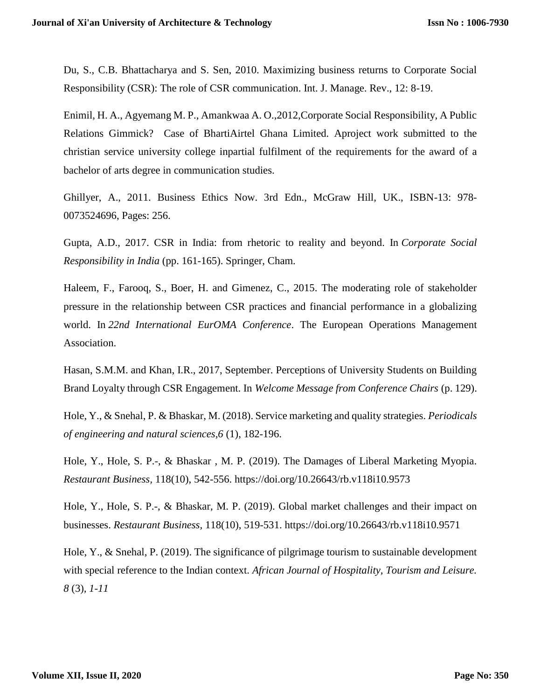Du, S., C.B. Bhattacharya and S. Sen, 2010. Maximizing business returns to Corporate Social Responsibility (CSR): The role of CSR communication. Int. J. Manage. Rev., 12: 8-19.

Enimil, H. A., Agyemang M. P., Amankwaa A. O.,2012,Corporate Social Responsibility, A Public Relations Gimmick? Case of BhartiAirtel Ghana Limited. Aproject work submitted to the christian service university college inpartial fulfilment of the requirements for the award of a bachelor of arts degree in communication studies.

Ghillyer, A., 2011. Business Ethics Now. 3rd Edn., McGraw Hill, UK., ISBN-13: 978- 0073524696, Pages: 256.

Gupta, A.D., 2017. CSR in India: from rhetoric to reality and beyond. In *Corporate Social Responsibility in India* (pp. 161-165). Springer, Cham.

Haleem, F., Farooq, S., Boer, H. and Gimenez, C., 2015. The moderating role of stakeholder pressure in the relationship between CSR practices and financial performance in a globalizing world. In *22nd International EurOMA Conference*. The European Operations Management Association.

Hasan, S.M.M. and Khan, I.R., 2017, September. Perceptions of University Students on Building Brand Loyalty through CSR Engagement. In *Welcome Message from Conference Chairs* (p. 129).

Hole, Y., & Snehal, P. & Bhaskar, M. (2018). Service marketing and quality strategies. *Periodicals of engineering and natural sciences,6* (1), 182-196.

Hole, Y., Hole, S. P.-, & Bhaskar , M. P. (2019). The Damages of Liberal Marketing Myopia. *Restaurant Business,* 118(10), 542-556.<https://doi.org/10.26643/rb.v118i10.9573>

Hole, Y., Hole, S. P.-, & Bhaskar, M. P. (2019). Global market challenges and their impact on businesses. *Restaurant Business,* 118(10), 519-531. https://doi.org/10.26643/rb.v118i10.9571

Hole, Y., & Snehal, P. (2019). The significance of pilgrimage tourism to sustainable development with special reference to the Indian context. *African Journal of Hospitality, Tourism and Leisure. 8* (3)*, 1-11*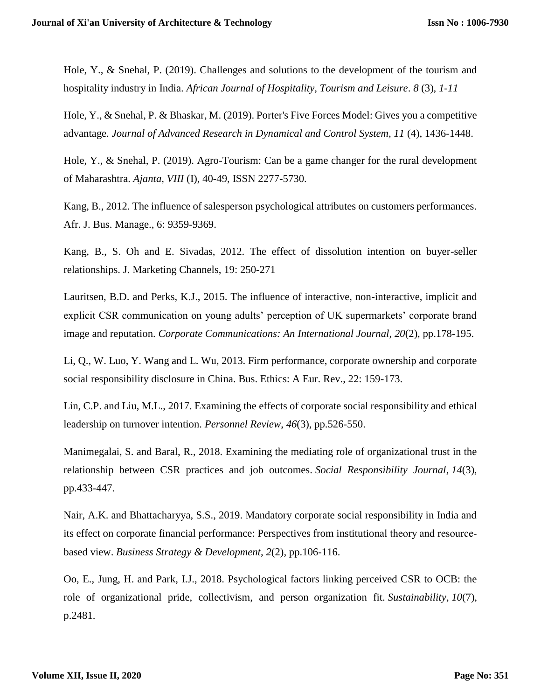Hole, Y., & Snehal, P. (2019). Challenges and solutions to the development of the tourism and hospitality industry in India. *African Journal of Hospitality, Tourism and Leisure*. *8* (3)*, 1-11* 

Hole, Y., & Snehal, P. & Bhaskar, M. (2019). Porter's Five Forces Model: Gives you a competitive advantage. *Journal of Advanced Research in Dynamical and Control System, 11* (4), 1436-1448.

Hole, Y., & Snehal, P. (2019). Agro-Tourism: Can be a game changer for the rural development of Maharashtra. *Ajanta, VIII* (I), 40-49, ISSN 2277-5730.

Kang, B., 2012. The influence of salesperson psychological attributes on customers performances. Afr. J. Bus. Manage., 6: 9359-9369.

Kang, B., S. Oh and E. Sivadas, 2012. The effect of dissolution intention on buyer-seller relationships. J. Marketing Channels, 19: 250-271

Lauritsen, B.D. and Perks, K.J., 2015. The influence of interactive, non-interactive, implicit and explicit CSR communication on young adults' perception of UK supermarkets' corporate brand image and reputation. *Corporate Communications: An International Journal*, *20*(2), pp.178-195.

Li, Q., W. Luo, Y. Wang and L. Wu, 2013. Firm performance, corporate ownership and corporate social responsibility disclosure in China. Bus. Ethics: A Eur. Rev., 22: 159-173.

Lin, C.P. and Liu, M.L., 2017. Examining the effects of corporate social responsibility and ethical leadership on turnover intention. *Personnel Review*, *46*(3), pp.526-550.

Manimegalai, S. and Baral, R., 2018. Examining the mediating role of organizational trust in the relationship between CSR practices and job outcomes. *Social Responsibility Journal*, *14*(3), pp.433-447.

Nair, A.K. and Bhattacharyya, S.S., 2019. Mandatory corporate social responsibility in India and its effect on corporate financial performance: Perspectives from institutional theory and resource based view. *Business Strategy & Development*, *2*(2), pp.106-116.

Oo, E., Jung, H. and Park, I.J., 2018. Psychological factors linking perceived CSR to OCB: the role of organizational pride, collectivism, and person–organization fit. *Sustainability*, *10*(7), p.2481.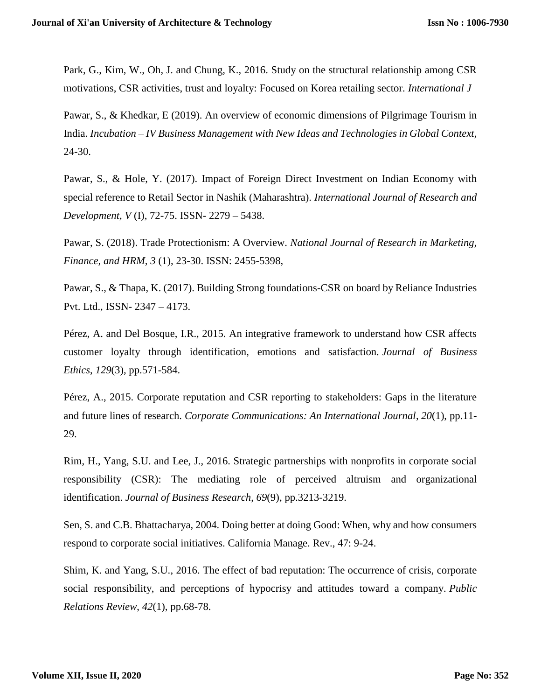Park, G., Kim, W., Oh, J. and Chung, K., 2016. Study on the structural relationship among CSR motivations, CSR activities, trust and loyalty: Focused on Korea retailing sector. *International J*

Pawar, S., & Khedkar, E (2019). An overview of economic dimensions of Pilgrimage Tourism in India. *Incubation – IV Business Management with New Ideas and Technologies in Global Context,*  24-30.

Pawar, S., & Hole, Y. (2017). Impact of Foreign Direct Investment on Indian Economy with special reference to Retail Sector in Nashik (Maharashtra). *International Journal of Research and Development, V* (I), 72-75. ISSN- 2279 – 5438.

Pawar, S. (2018). Trade Protectionism: A Overview. *National Journal of Research in Marketing, Finance, and HRM, 3* (1), 23-30. ISSN: 2455-5398,

Pawar, S., & Thapa, K. (2017). Building Strong foundations-CSR on board by Reliance Industries Pvt. Ltd., ISSN- 2347 – 4173.

Pérez, A. and Del Bosque, I.R., 2015. An integrative framework to understand how CSR affects customer loyalty through identification, emotions and satisfaction. *Journal of Business Ethics*, *129*(3), pp.571-584.

Pérez, A., 2015. Corporate reputation and CSR reporting to stakeholders: Gaps in the literature and future lines of research. *Corporate Communications: An International Journal*, *20*(1), pp.11- 29.

Rim, H., Yang, S.U. and Lee, J., 2016. Strategic partnerships with nonprofits in corporate social responsibility (CSR): The mediating role of perceived altruism and organizational identification. *Journal of Business Research*, *69*(9), pp.3213-3219.

Sen, S. and C.B. Bhattacharya, 2004. Doing better at doing Good: When, why and how consumers respond to corporate social initiatives. California Manage. Rev., 47: 9-24.

Shim, K. and Yang, S.U., 2016. The effect of bad reputation: The occurrence of crisis, corporate social responsibility, and perceptions of hypocrisy and attitudes toward a company. *Public Relations Review*, *42*(1), pp.68-78.